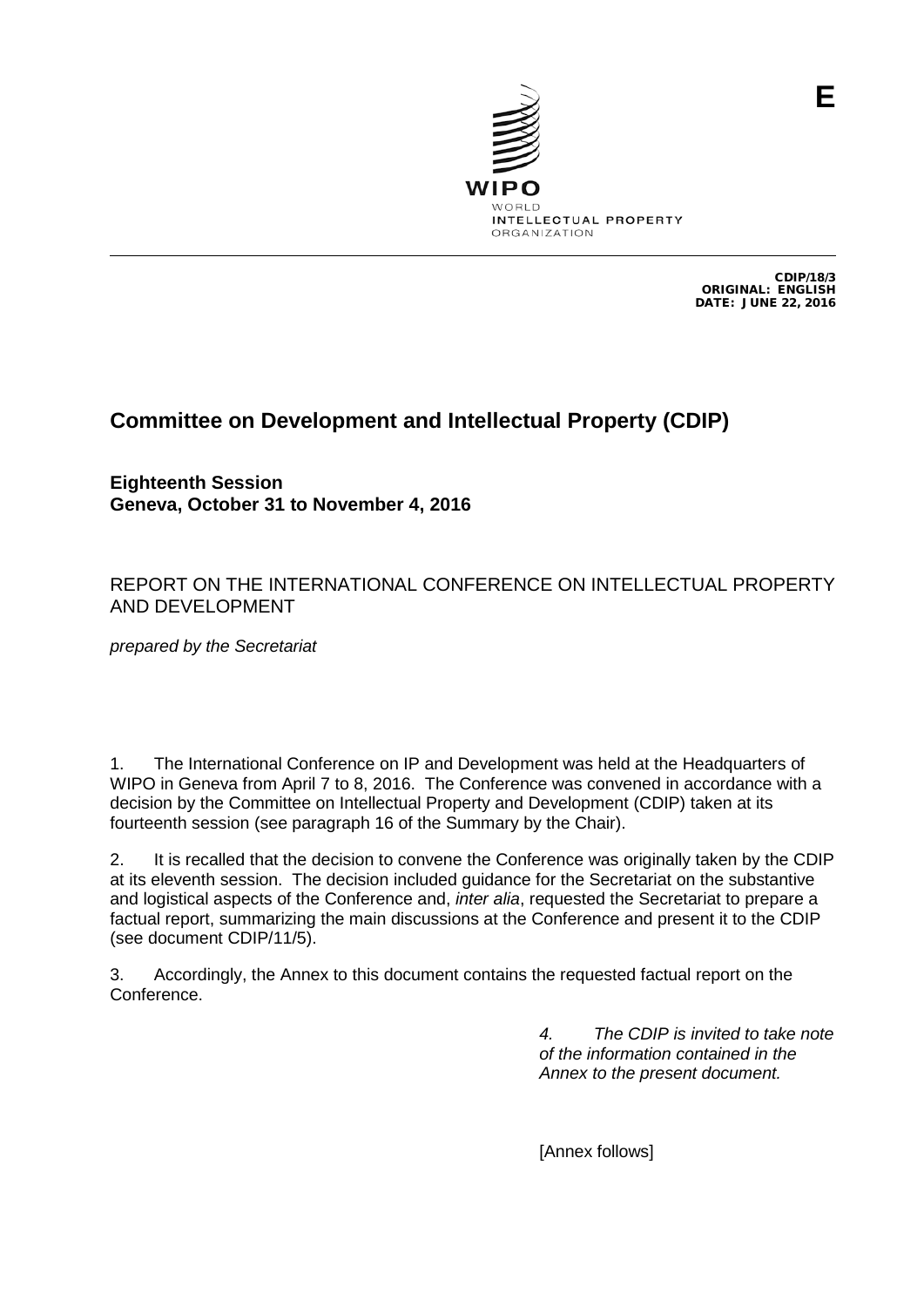

CDIP/18/3 ORIGINAL: ENGLISH DATE: JUNE 22, 2016

# **Committee on Development and Intellectual Property (CDIP)**

**Eighteenth Session Geneva, October 31 to November 4, 2016**

## REPORT ON THE INTERNATIONAL CONFERENCE ON INTELLECTUAL PROPERTY AND DEVELOPMENT

*prepared by the Secretariat*

1. The International Conference on IP and Development was held at the Headquarters of WIPO in Geneva from April 7 to 8, 2016. The Conference was convened in accordance with a decision by the Committee on Intellectual Property and Development (CDIP) taken at its fourteenth session (see paragraph 16 of the Summary by the Chair).

2. It is recalled that the decision to convene the Conference was originally taken by the CDIP at its eleventh session. The decision included guidance for the Secretariat on the substantive and logistical aspects of the Conference and, *inter alia*, requested the Secretariat to prepare a factual report, summarizing the main discussions at the Conference and present it to the CDIP (see document CDIP/11/5).

<span id="page-0-0"></span>3. Accordingly, the Annex to this document contains the requested factual report on the Conference.

> *4. The CDIP is invited to take note of the information contained in the Annex to the present document.*

[Annex follows]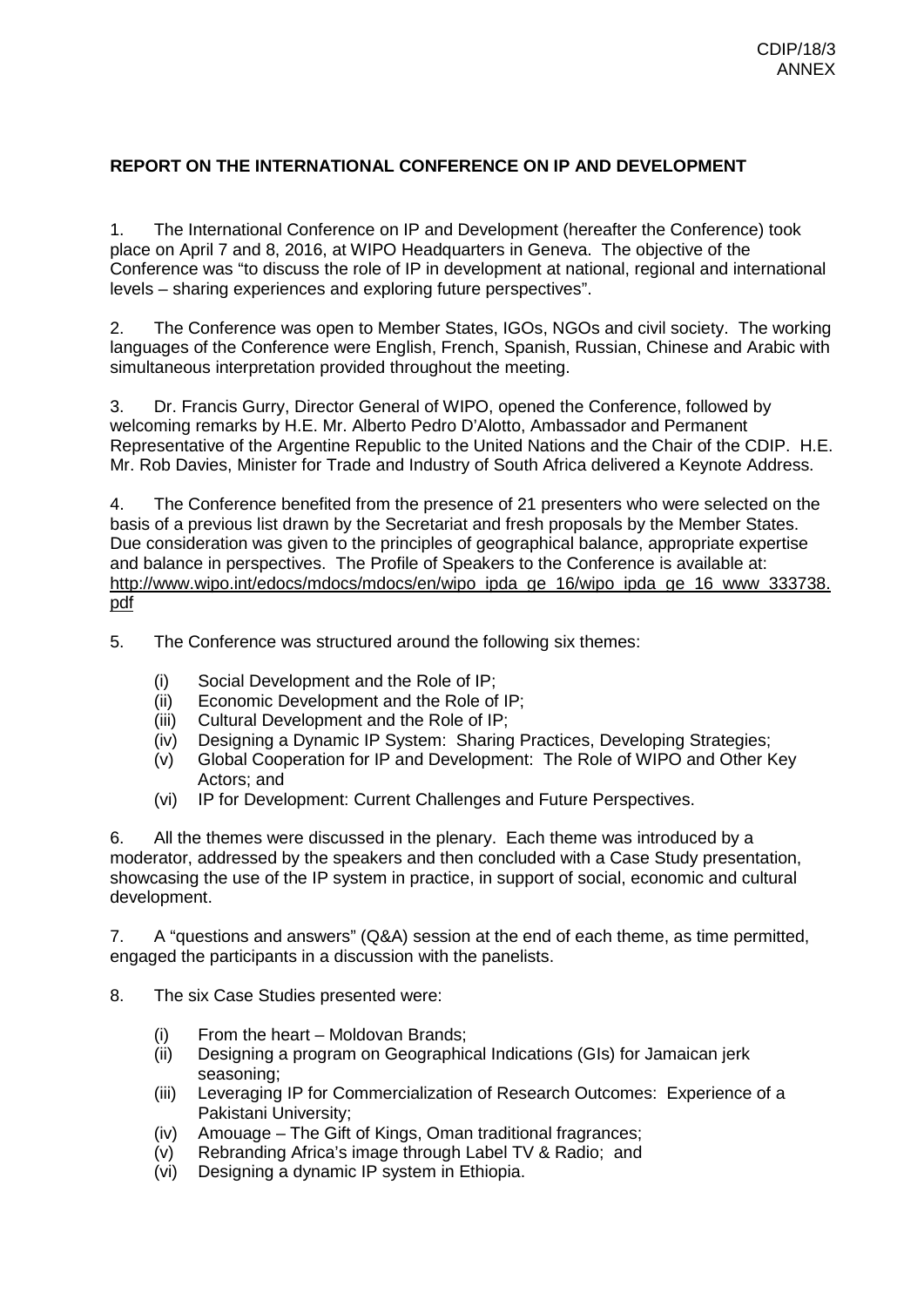### **REPORT ON THE INTERNATIONAL CONFERENCE ON IP AND DEVELOPMENT**

1. The International Conference on IP and Development (hereafter the Conference) took place on April 7 and 8, 2016, at WIPO Headquarters in Geneva. The objective of the Conference was "to discuss the role of IP in development at national, regional and international levels – sharing experiences and exploring future perspectives".

2. The Conference was open to Member States, IGOs, NGOs and civil society. The working languages of the Conference were English, French, Spanish, Russian, Chinese and Arabic with simultaneous interpretation provided throughout the meeting.

3. Dr. Francis Gurry, Director General of WIPO, opened the Conference, followed by welcoming remarks by H.E. Mr. Alberto Pedro D'Alotto, Ambassador and Permanent Representative of the Argentine Republic to the United Nations and the Chair of the CDIP. H.E. Mr. Rob Davies, Minister for Trade and Industry of South Africa delivered a Keynote Address.

4. The Conference benefited from the presence of 21 presenters who were selected on the basis of a previous list drawn by the Secretariat and fresh proposals by the Member States. Due consideration was given to the principles of geographical balance, appropriate expertise and balance in perspectives. The Profile of Speakers to the Conference is available at: [http://www.wipo.int/edocs/mdocs/mdocs/en/wipo\\_ipda\\_ge\\_16/wipo\\_ipda\\_ge\\_16\\_www\\_333738.](http://www.wipo.int/edocs/mdocs/mdocs/en/wipo_ipda_ge_16/wipo_ipda_ge_16_www_333738.pdf) [pdf](http://www.wipo.int/edocs/mdocs/mdocs/en/wipo_ipda_ge_16/wipo_ipda_ge_16_www_333738.pdf)

5. The Conference was structured around the following six themes:

- (i) Social Development and the Role of IP;
- 
- (ii) Economic Development and the Role of IP;<br>(iii) Cultural Development and the Role of IP; Cultural Development and the Role of IP;
- (iv) Designing a Dynamic IP System: Sharing Practices, Developing Strategies;
- (v) Global Cooperation for IP and Development: The Role of WIPO and Other Key Actors; and
- (vi) IP for Development: Current Challenges and Future Perspectives.

6. All the themes were discussed in the plenary. Each theme was introduced by a moderator, addressed by the speakers and then concluded with a Case Study presentation, showcasing the use of the IP system in practice, in support of social, economic and cultural development.

7. A "questions and answers" (Q&A) session at the end of each theme, as time permitted, engaged the participants in a discussion with the panelists.

- 8. The six Case Studies presented were:
	- (i) From the heart Moldovan Brands;
	- (ii) Designing a program on Geographical Indications (GIs) for Jamaican jerk seasoning;
	- (iii) Leveraging IP for Commercialization of Research Outcomes: Experience of a Pakistani University;
	- (iv) Amouage The Gift of Kings, Oman traditional fragrances;
	- (v) Rebranding Africa's image through Label TV & Radio; and
	- (vi) Designing a dynamic IP system in Ethiopia.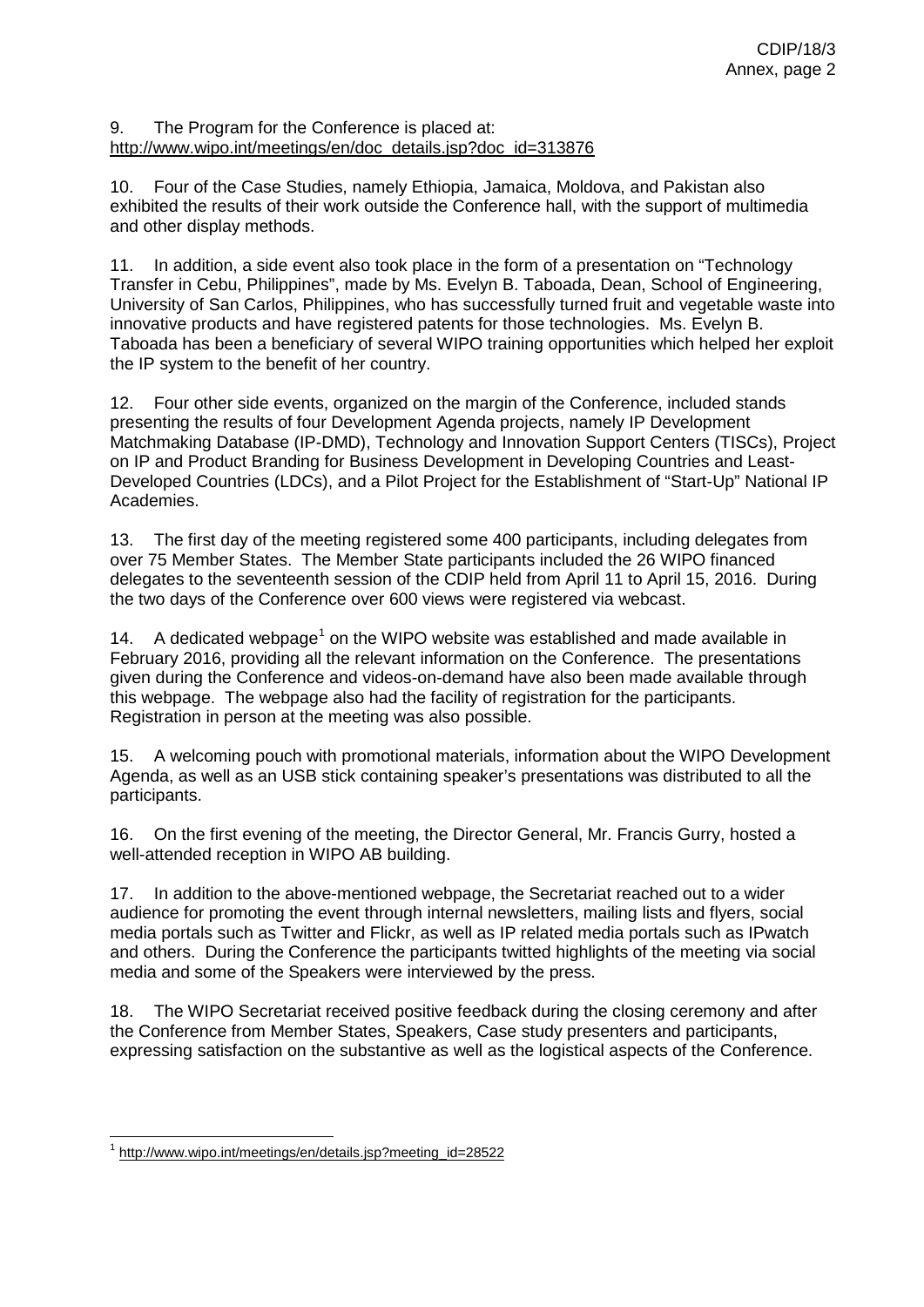#### 9. The Program for the Conference is placed at: [http://www.wipo.int/meetings/en/doc\\_details.jsp?doc\\_id=313876](http://www.wipo.int/meetings/en/doc_details.jsp?doc_id=313876)

10. Four of the Case Studies, namely Ethiopia, Jamaica, Moldova, and Pakistan also exhibited the results of their work outside the Conference hall, with the support of multimedia and other display methods.

11. In addition, a side event also took place in the form of a presentation on "Technology Transfer in Cebu, Philippines", made by Ms. Evelyn B. Taboada, Dean, School of Engineering, University of San Carlos, Philippines, who has successfully turned fruit and vegetable waste into innovative products and have registered patents for those technologies. Ms. Evelyn B. Taboada has been a beneficiary of several WIPO training opportunities which helped her exploit the IP system to the benefit of her country.

12. Four other side events, organized on the margin of the Conference, included stands presenting the results of four Development Agenda projects, namely IP Development Matchmaking Database (IP-DMD), Technology and Innovation Support Centers (TISCs), Project on IP and Product Branding for Business Development in Developing Countries and Least-Developed Countries (LDCs), and a Pilot Project for the Establishment of "Start-Up" National IP Academies.

13. The first day of the meeting registered some 400 participants, including delegates from over 75 Member States. The Member State participants included the 26 WIPO financed delegates to the seventeenth session of the CDIP held from April 11 to April 15, 2016. During the two days of the Conference over 600 views were registered via webcast.

[1](#page-0-0)4. A dedicated webpage<sup>1</sup> on the WIPO website was established and made available in February 2016, providing all the relevant information on the Conference. The presentations given during the Conference and videos-on-demand have also been made available through this webpage. The webpage also had the facility of registration for the participants. Registration in person at the meeting was also possible.

15. A welcoming pouch with promotional materials, information about the WIPO Development Agenda, as well as an USB stick containing speaker's presentations was distributed to all the participants.

16. On the first evening of the meeting, the Director General, Mr. Francis Gurry, hosted a well-attended reception in WIPO AB building.

17. In addition to the above-mentioned webpage, the Secretariat reached out to a wider audience for promoting the event through internal newsletters, mailing lists and flyers, social media portals such as Twitter and Flickr, as well as IP related media portals such as IPwatch and others. During the Conference the participants twitted highlights of the meeting via social media and some of the Speakers were interviewed by the press.

18. The WIPO Secretariat received positive feedback during the closing ceremony and after the Conference from Member States, Speakers, Case study presenters and participants, expressing satisfaction on the substantive as well as the logistical aspects of the Conference.

<span id="page-2-0"></span><sup>&</sup>lt;sup>1</sup> [http://www.wipo.int/meetings/en/details.jsp?meeting\\_id=28522](http://www.wipo.int/meetings/en/details.jsp?meeting_id=28522)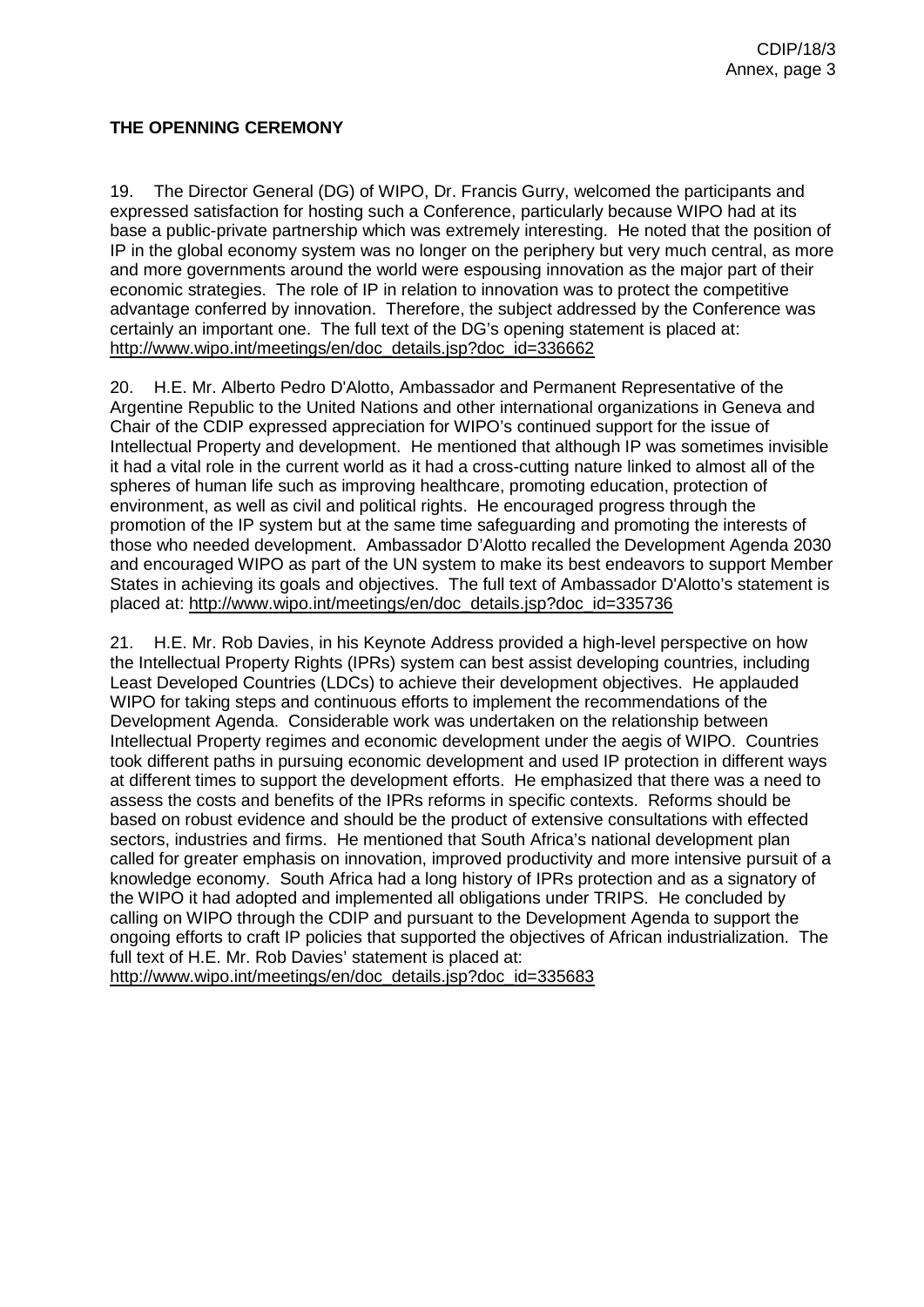## **THE OPENNING CEREMONY**

19. The Director General (DG) of WIPO, Dr. Francis Gurry, welcomed the participants and expressed satisfaction for hosting such a Conference, particularly because WIPO had at its base a public-private partnership which was extremely interesting. He noted that the position of IP in the global economy system was no longer on the periphery but very much central, as more and more governments around the world were espousing innovation as the major part of their economic strategies. The role of IP in relation to innovation was to protect the competitive advantage conferred by innovation. Therefore, the subject addressed by the Conference was certainly an important one. The full text of the DG's opening statement is placed at: [http://www.wipo.int/meetings/en/doc\\_details.jsp?doc\\_id=336662](http://www.wipo.int/meetings/en/doc_details.jsp?doc_id=336662)

20. H.E. Mr. Alberto Pedro D'Alotto, Ambassador and Permanent Representative of the Argentine Republic to the United Nations and other international organizations in Geneva and Chair of the CDIP expressed appreciation for WIPO's continued support for the issue of Intellectual Property and development. He mentioned that although IP was sometimes invisible it had a vital role in the current world as it had a cross-cutting nature linked to almost all of the spheres of human life such as improving healthcare, promoting education, protection of environment, as well as civil and political rights. He encouraged progress through the promotion of the IP system but at the same time safeguarding and promoting the interests of those who needed development. Ambassador D'Alotto recalled the Development Agenda 2030 and encouraged WIPO as part of the UN system to make its best endeavors to support Member States in achieving its goals and objectives. The full text of Ambassador D'Alotto's statement is placed at: [http://www.wipo.int/meetings/en/doc\\_details.jsp?doc\\_id=335736](http://www.wipo.int/meetings/en/doc_details.jsp?doc_id=335736)

21. H.E. Mr. Rob Davies, in his Keynote Address provided a high-level perspective on how the Intellectual Property Rights (IPRs) system can best assist developing countries, including Least Developed Countries (LDCs) to achieve their development objectives. He applauded WIPO for taking steps and continuous efforts to implement the recommendations of the Development Agenda. Considerable work was undertaken on the relationship between Intellectual Property regimes and economic development under the aegis of WIPO. Countries took different paths in pursuing economic development and used IP protection in different ways at different times to support the development efforts. He emphasized that there was a need to assess the costs and benefits of the IPRs reforms in specific contexts. Reforms should be based on robust evidence and should be the product of extensive consultations with effected sectors, industries and firms. He mentioned that South Africa's national development plan called for greater emphasis on innovation, improved productivity and more intensive pursuit of a knowledge economy. South Africa had a long history of IPRs protection and as a signatory of the WIPO it had adopted and implemented all obligations under TRIPS. He concluded by calling on WIPO through the CDIP and pursuant to the Development Agenda to support the ongoing efforts to craft IP policies that supported the objectives of African industrialization. The full text of H.E. Mr. Rob Davies' statement is placed at: [http://www.wipo.int/meetings/en/doc\\_details.jsp?doc\\_id=335683](http://www.wipo.int/meetings/en/doc_details.jsp?doc_id=335683)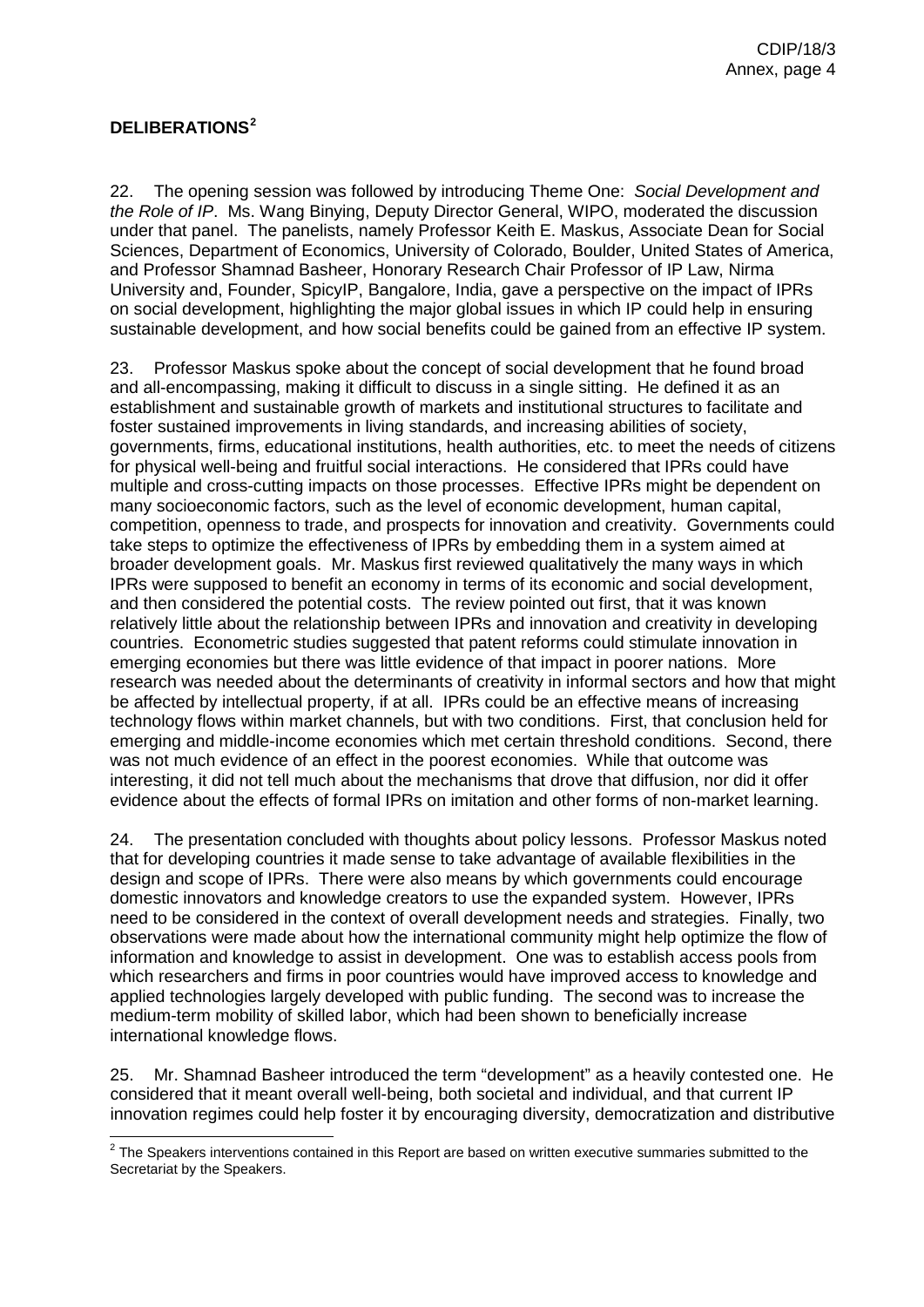## **DELIBERATIONS[2](#page-2-0)**

22. The opening session was followed by introducing Theme One: *Social Development and the Role of IP*. Ms. Wang Binying, Deputy Director General, WIPO, moderated the discussion under that panel. The panelists, namely Professor Keith E. Maskus, Associate Dean for Social Sciences, Department of Economics, University of Colorado, Boulder, United States of America, and Professor Shamnad Basheer, Honorary Research Chair Professor of IP Law, Nirma University and, Founder, SpicyIP, Bangalore, India, gave a perspective on the impact of IPRs on social development, highlighting the major global issues in which IP could help in ensuring sustainable development, and how social benefits could be gained from an effective IP system.

23. Professor Maskus spoke about the concept of social development that he found broad and all-encompassing, making it difficult to discuss in a single sitting. He defined it as an establishment and sustainable growth of markets and institutional structures to facilitate and foster sustained improvements in living standards, and increasing abilities of society, governments, firms, educational institutions, health authorities, etc. to meet the needs of citizens for physical well-being and fruitful social interactions. He considered that IPRs could have multiple and cross-cutting impacts on those processes. Effective IPRs might be dependent on many socioeconomic factors, such as the level of economic development, human capital, competition, openness to trade, and prospects for innovation and creativity. Governments could take steps to optimize the effectiveness of IPRs by embedding them in a system aimed at broader development goals. Mr. Maskus first reviewed qualitatively the many ways in which IPRs were supposed to benefit an economy in terms of its economic and social development, and then considered the potential costs. The review pointed out first, that it was known relatively little about the relationship between IPRs and innovation and creativity in developing countries. Econometric studies suggested that patent reforms could stimulate innovation in emerging economies but there was little evidence of that impact in poorer nations. More research was needed about the determinants of creativity in informal sectors and how that might be affected by intellectual property, if at all. IPRs could be an effective means of increasing technology flows within market channels, but with two conditions. First, that conclusion held for emerging and middle-income economies which met certain threshold conditions. Second, there was not much evidence of an effect in the poorest economies. While that outcome was interesting, it did not tell much about the mechanisms that drove that diffusion, nor did it offer evidence about the effects of formal IPRs on imitation and other forms of non-market learning.

24. The presentation concluded with thoughts about policy lessons. Professor Maskus noted that for developing countries it made sense to take advantage of available flexibilities in the design and scope of IPRs. There were also means by which governments could encourage domestic innovators and knowledge creators to use the expanded system. However, IPRs need to be considered in the context of overall development needs and strategies. Finally, two observations were made about how the international community might help optimize the flow of information and knowledge to assist in development. One was to establish access pools from which researchers and firms in poor countries would have improved access to knowledge and applied technologies largely developed with public funding. The second was to increase the medium-term mobility of skilled labor, which had been shown to beneficially increase international knowledge flows.

25. Mr. Shamnad Basheer introduced the term "development" as a heavily contested one. He considered that it meant overall well-being, both societal and individual, and that current IP innovation regimes could help foster it by encouraging diversity, democratization and distributive

<span id="page-4-0"></span> $2$  The Speakers interventions contained in this Report are based on written executive summaries submitted to the Secretariat by the Speakers.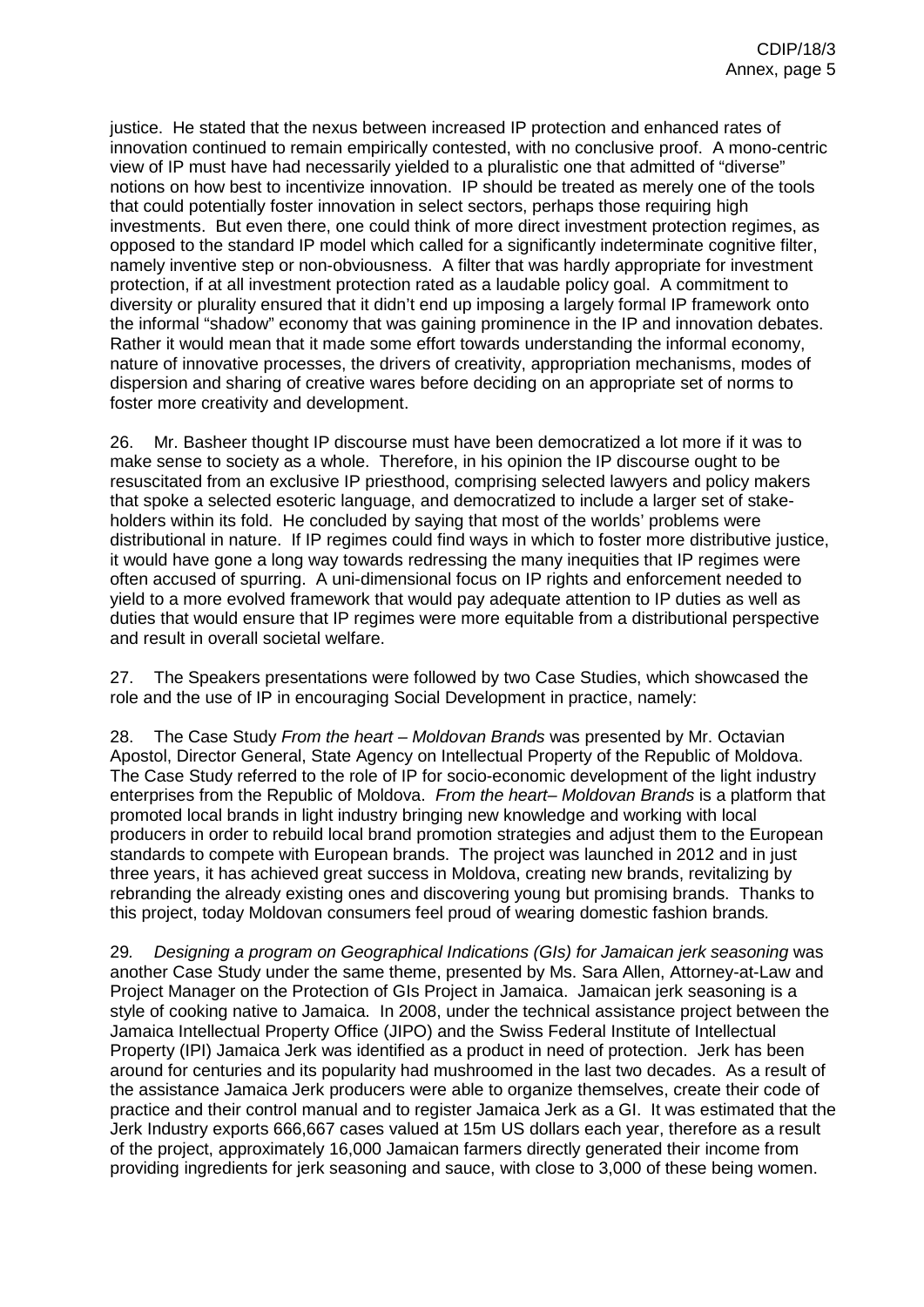justice. He stated that the nexus between increased IP protection and enhanced rates of innovation continued to remain empirically contested, with no conclusive proof. A mono-centric view of IP must have had necessarily yielded to a pluralistic one that admitted of "diverse" notions on how best to incentivize innovation. IP should be treated as merely one of the tools that could potentially foster innovation in select sectors, perhaps those requiring high investments. But even there, one could think of more direct investment protection regimes, as opposed to the standard IP model which called for a significantly indeterminate cognitive filter, namely inventive step or non-obviousness. A filter that was hardly appropriate for investment protection, if at all investment protection rated as a laudable policy goal. A commitment to diversity or plurality ensured that it didn't end up imposing a largely formal IP framework onto the informal "shadow" economy that was gaining prominence in the IP and innovation debates. Rather it would mean that it made some effort towards understanding the informal economy, nature of innovative processes, the drivers of creativity, appropriation mechanisms, modes of dispersion and sharing of creative wares before deciding on an appropriate set of norms to foster more creativity and development.

26. Mr. Basheer thought IP discourse must have been democratized a lot more if it was to make sense to society as a whole. Therefore, in his opinion the IP discourse ought to be resuscitated from an exclusive IP priesthood, comprising selected lawyers and policy makers that spoke a selected esoteric language, and democratized to include a larger set of stakeholders within its fold. He concluded by saying that most of the worlds' problems were distributional in nature. If IP regimes could find ways in which to foster more distributive justice, it would have gone a long way towards redressing the many inequities that IP regimes were often accused of spurring. A uni-dimensional focus on IP rights and enforcement needed to yield to a more evolved framework that would pay adequate attention to IP duties as well as duties that would ensure that IP regimes were more equitable from a distributional perspective and result in overall societal welfare.

27. The Speakers presentations were followed by two Case Studies, which showcased the role and the use of IP in encouraging Social Development in practice, namely:

28. The Case Study *From the heart – Moldovan Brands* was presented by Mr. Octavian Apostol, Director General, State Agency on Intellectual Property of the Republic of Moldova. The Case Study referred to the role of IP for socio-economic development of the light industry enterprises from the Republic of Moldova. *From the heart– Moldovan Brands* is a platform that promoted local brands in light industry bringing new knowledge and working with local producers in order to rebuild local brand promotion strategies and adjust them to the European standards to compete with European brands. The project was launched in 2012 and in just three years, it has achieved great success in Moldova, creating new brands, revitalizing by rebranding the already existing ones and discovering young but promising brands. Thanks to this project, today Moldovan consumers feel proud of wearing domestic fashion brands*.*

29*. Designing a program on Geographical Indications (GIs) for Jamaican jerk seasoning* was another Case Study under the same theme, presented by Ms. Sara Allen, Attorney-at-Law and Project Manager on the Protection of GIs Project in Jamaica. Jamaican jerk seasoning is a style of cooking native to Jamaica. In 2008, under the technical assistance project between the Jamaica Intellectual Property Office (JIPO) and the Swiss Federal Institute of Intellectual Property (IPI) Jamaica Jerk was identified as a product in need of protection. Jerk has been around for centuries and its popularity had mushroomed in the last two decades. As a result of the assistance Jamaica Jerk producers were able to organize themselves, create their code of practice and their control manual and to register Jamaica Jerk as a GI. It was estimated that the Jerk Industry exports 666,667 cases valued at 15m US dollars each year, therefore as a result of the project, approximately 16,000 Jamaican farmers directly generated their income from providing ingredients for jerk seasoning and sauce, with close to 3,000 of these being women.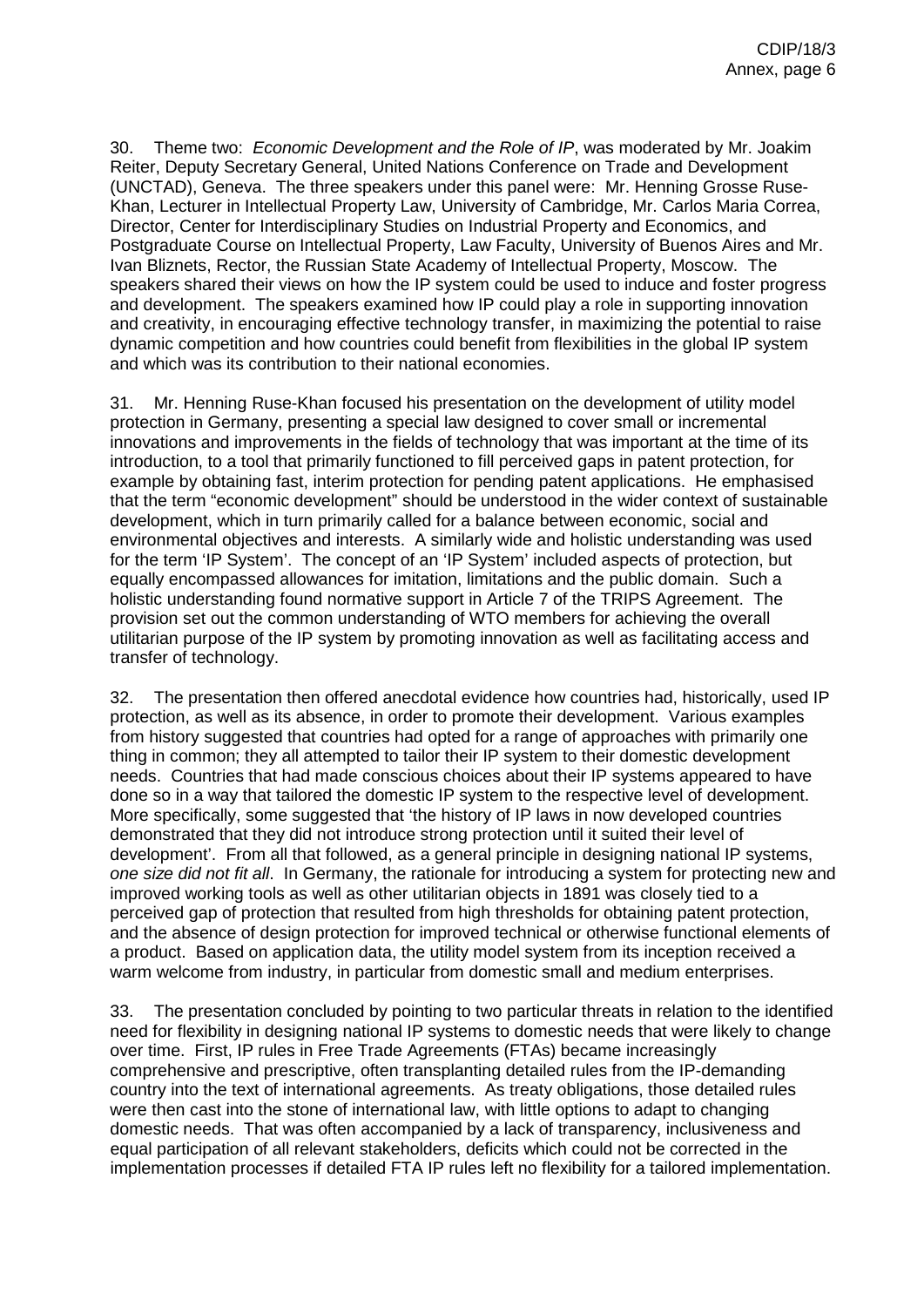30. Theme two: *Economic Development and the Role of IP*, was moderated by Mr. Joakim Reiter, Deputy Secretary General, United Nations Conference on Trade and Development (UNCTAD), Geneva. The three speakers under this panel were: Mr. Henning Grosse Ruse-Khan, Lecturer in Intellectual Property Law, University of Cambridge, Mr. Carlos Maria Correa, Director, Center for Interdisciplinary Studies on Industrial Property and Economics, and Postgraduate Course on Intellectual Property, Law Faculty, University of Buenos Aires and Mr. Ivan Bliznets, Rector, the Russian State Academy of Intellectual Property, Moscow. The speakers shared their views on how the IP system could be used to induce and foster progress and development. The speakers examined how IP could play a role in supporting innovation and creativity, in encouraging effective technology transfer, in maximizing the potential to raise dynamic competition and how countries could benefit from flexibilities in the global IP system and which was its contribution to their national economies.

31. Mr. Henning Ruse-Khan focused his presentation on the development of utility model protection in Germany, presenting a special law designed to cover small or incremental innovations and improvements in the fields of technology that was important at the time of its introduction, to a tool that primarily functioned to fill perceived gaps in patent protection, for example by obtaining fast, interim protection for pending patent applications. He emphasised that the term "economic development" should be understood in the wider context of sustainable development, which in turn primarily called for a balance between economic, social and environmental objectives and interests. A similarly wide and holistic understanding was used for the term 'IP System'. The concept of an 'IP System' included aspects of protection, but equally encompassed allowances for imitation, limitations and the public domain. Such a holistic understanding found normative support in Article 7 of the TRIPS Agreement. The provision set out the common understanding of WTO members for achieving the overall utilitarian purpose of the IP system by promoting innovation as well as facilitating access and transfer of technology.

32. The presentation then offered anecdotal evidence how countries had, historically, used IP protection, as well as its absence, in order to promote their development. Various examples from history suggested that countries had opted for a range of approaches with primarily one thing in common; they all attempted to tailor their IP system to their domestic development needs. Countries that had made conscious choices about their IP systems appeared to have done so in a way that tailored the domestic IP system to the respective level of development. More specifically, some suggested that 'the history of IP laws in now developed countries demonstrated that they did not introduce strong protection until it suited their level of development'. From all that followed, as a general principle in designing national IP systems, *one size did not fit all*. In Germany, the rationale for introducing a system for protecting new and improved working tools as well as other utilitarian objects in 1891 was closely tied to a perceived gap of protection that resulted from high thresholds for obtaining patent protection, and the absence of design protection for improved technical or otherwise functional elements of a product. Based on application data, the utility model system from its inception received a warm welcome from industry, in particular from domestic small and medium enterprises.

33. The presentation concluded by pointing to two particular threats in relation to the identified need for flexibility in designing national IP systems to domestic needs that were likely to change over time. First, IP rules in Free Trade Agreements (FTAs) became increasingly comprehensive and prescriptive, often transplanting detailed rules from the IP-demanding country into the text of international agreements. As treaty obligations, those detailed rules were then cast into the stone of international law, with little options to adapt to changing domestic needs. That was often accompanied by a lack of transparency, inclusiveness and equal participation of all relevant stakeholders, deficits which could not be corrected in the implementation processes if detailed FTA IP rules left no flexibility for a tailored implementation.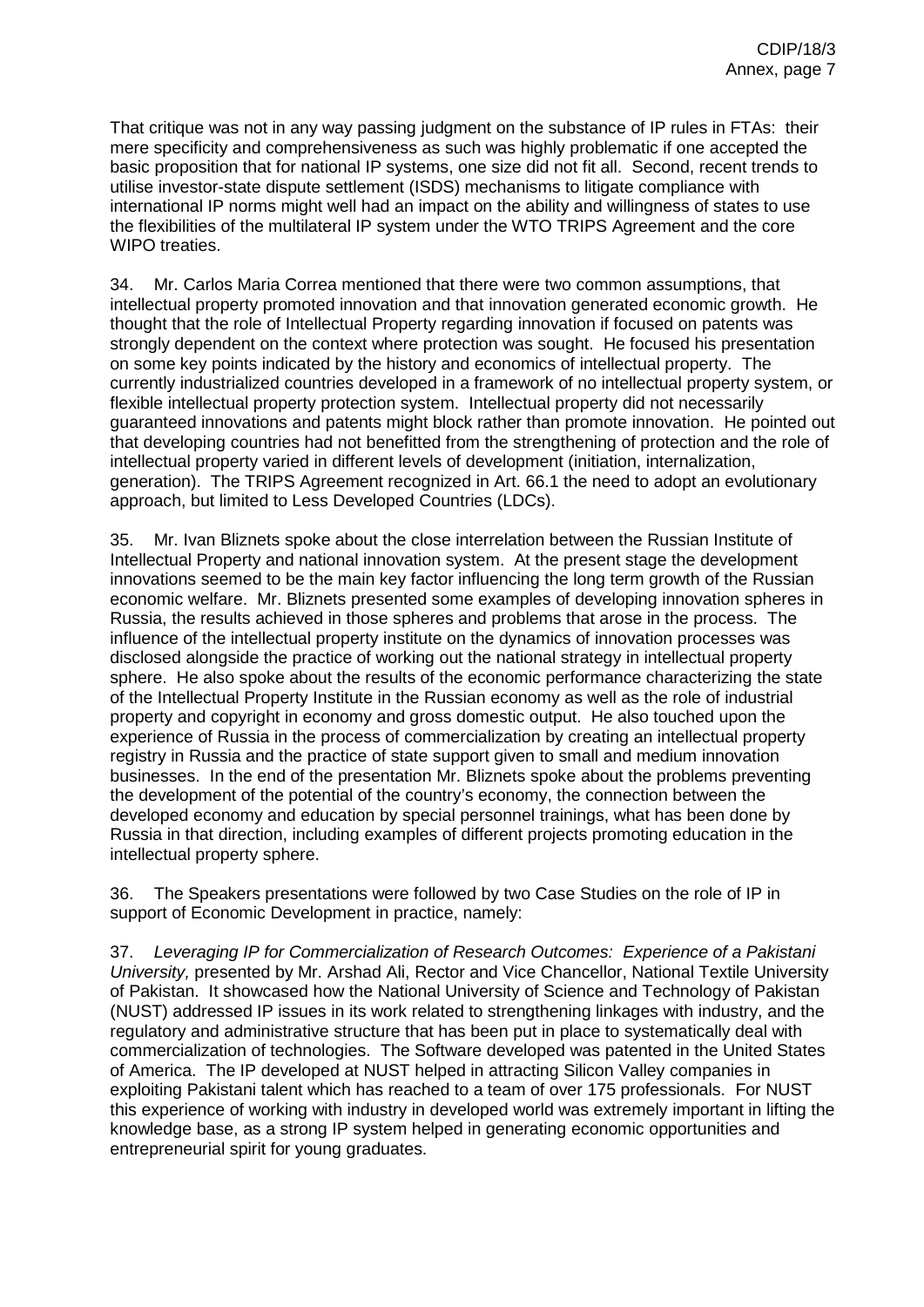That critique was not in any way passing judgment on the substance of IP rules in FTAs: their mere specificity and comprehensiveness as such was highly problematic if one accepted the basic proposition that for national IP systems, one size did not fit all. Second, recent trends to utilise investor-state dispute settlement (ISDS) mechanisms to litigate compliance with international IP norms might well had an impact on the ability and willingness of states to use the flexibilities of the multilateral IP system under the WTO TRIPS Agreement and the core WIPO treaties.

34. Mr. Carlos Maria Correa mentioned that there were two common assumptions, that intellectual property promoted innovation and that innovation generated economic growth. He thought that the role of Intellectual Property regarding innovation if focused on patents was strongly dependent on the context where protection was sought. He focused his presentation on some key points indicated by the history and economics of intellectual property. The currently industrialized countries developed in a framework of no intellectual property system, or flexible intellectual property protection system. Intellectual property did not necessarily guaranteed innovations and patents might block rather than promote innovation. He pointed out that developing countries had not benefitted from the strengthening of protection and the role of intellectual property varied in different levels of development (initiation, internalization, generation). The TRIPS Agreement recognized in Art. 66.1 the need to adopt an evolutionary approach, but limited to Less Developed Countries (LDCs).

35. Mr. Ivan Bliznets spoke about the close interrelation between the Russian Institute of Intellectual Property and national innovation system. At the present stage the development innovations seemed to be the main key factor influencing the long term growth of the Russian economic welfare. Mr. Bliznets presented some examples of developing innovation spheres in Russia, the results achieved in those spheres and problems that arose in the process. The influence of the intellectual property institute on the dynamics of innovation processes was disclosed alongside the practice of working out the national strategy in intellectual property sphere. He also spoke about the results of the economic performance characterizing the state of the Intellectual Property Institute in the Russian economy as well as the role of industrial property and copyright in economy and gross domestic output. He also touched upon the experience of Russia in the process of commercialization by creating an intellectual property registry in Russia and the practice of state support given to small and medium innovation businesses. In the end of the presentation Mr. Bliznets spoke about the problems preventing the development of the potential of the country's economy, the connection between the developed economy and education by special personnel trainings, what has been done by Russia in that direction, including examples of different projects promoting education in the intellectual property sphere.

36. The Speakers presentations were followed by two Case Studies on the role of IP in support of Economic Development in practice, namely:

37. *Leveraging IP for Commercialization of Research Outcomes: Experience of a Pakistani University,* presented by Mr. Arshad Ali, Rector and Vice Chancellor, National Textile University of Pakistan. It showcased how the National University of Science and Technology of Pakistan (NUST) addressed IP issues in its work related to strengthening linkages with industry, and the regulatory and administrative structure that has been put in place to systematically deal with commercialization of technologies. The Software developed was patented in the United States of America. The IP developed at NUST helped in attracting Silicon Valley companies in exploiting Pakistani talent which has reached to a team of over 175 professionals. For NUST this experience of working with industry in developed world was extremely important in lifting the knowledge base, as a strong IP system helped in generating economic opportunities and entrepreneurial spirit for young graduates.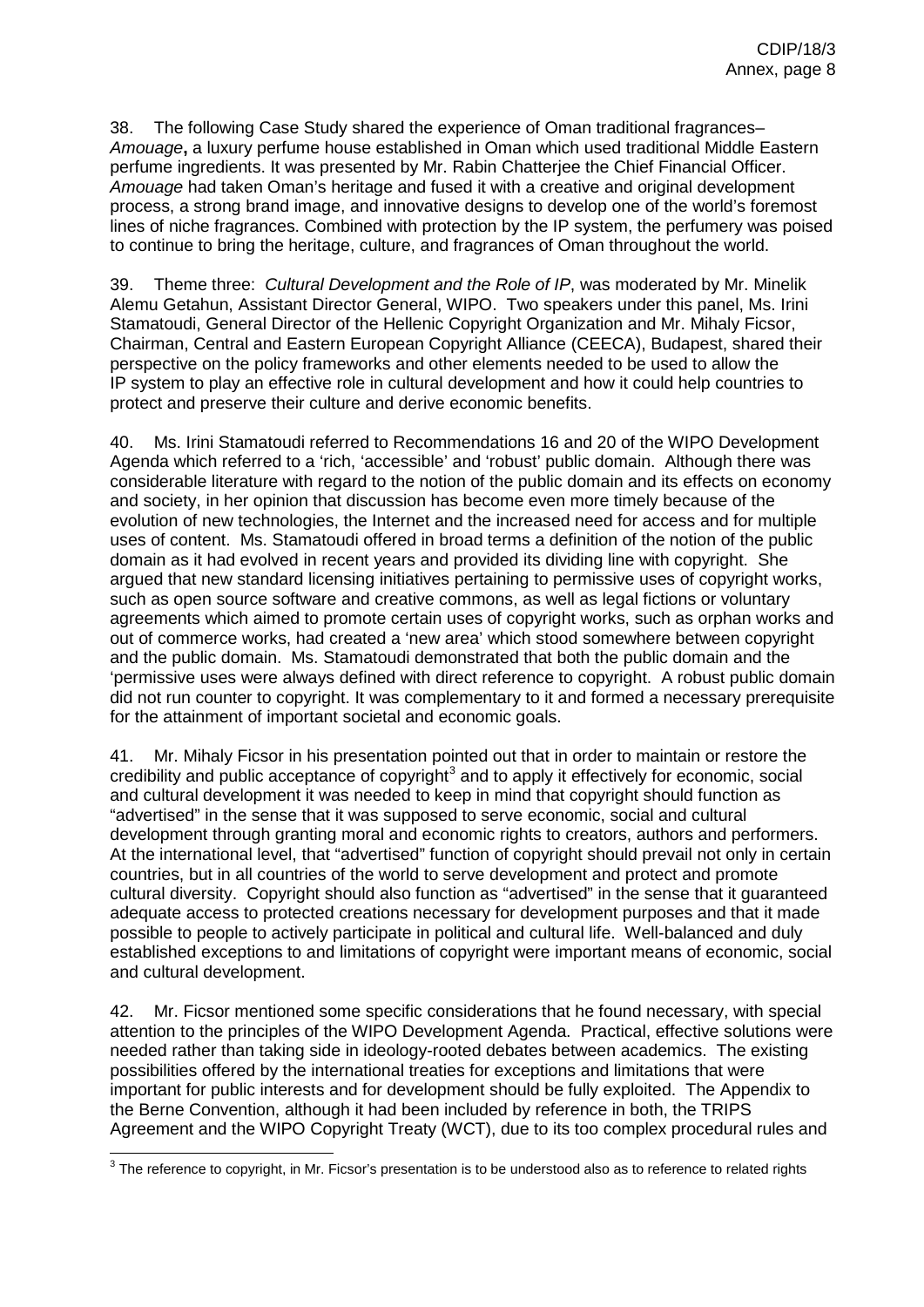38. The following Case Study shared the experience of Oman traditional fragrances– *Amouage***,** a luxury perfume house established in Oman which used traditional Middle Eastern perfume ingredients. It was presented by Mr. Rabin Chatterjee the Chief Financial Officer. *Amouage* had taken Oman's heritage and fused it with a creative and original development process, a strong brand image, and innovative designs to develop one of the world's foremost lines of niche fragrances. Combined with protection by the IP system, the perfumery was poised to continue to bring the heritage, culture, and fragrances of Oman throughout the world.

39. Theme three: *Cultural Development and the Role of IP*, was moderated by Mr. Minelik Alemu Getahun, Assistant Director General, WIPO. Two speakers under this panel, Ms. Irini Stamatoudi, General Director of the Hellenic Copyright Organization and Mr. Mihaly Ficsor, Chairman, Central and Eastern European Copyright Alliance (CEECA), Budapest, shared their perspective on the policy frameworks and other elements needed to be used to allow the IP system to play an effective role in cultural development and how it could help countries to protect and preserve their culture and derive economic benefits.

40. Ms. Irini Stamatoudi referred to Recommendations 16 and 20 of the WIPO Development Agenda which referred to a 'rich, 'accessible' and 'robust' public domain. Although there was considerable literature with regard to the notion of the public domain and its effects on economy and society, in her opinion that discussion has become even more timely because of the evolution of new technologies, the Internet and the increased need for access and for multiple uses of content. Ms. Stamatoudi offered in broad terms a definition of the notion of the public domain as it had evolved in recent years and provided its dividing line with copyright. She argued that new standard licensing initiatives pertaining to permissive uses of copyright works, such as open source software and creative commons, as well as legal fictions or voluntary agreements which aimed to promote certain uses of copyright works, such as orphan works and out of commerce works, had created a 'new area' which stood somewhere between copyright and the public domain. Ms. Stamatoudi demonstrated that both the public domain and the 'permissive uses were always defined with direct reference to copyright. A robust public domain did not run counter to copyright. It was complementary to it and formed a necessary prerequisite for the attainment of important societal and economic goals.

41. Mr. Mihaly Ficsor in his presentation pointed out that in order to maintain or restore the credibility and public acceptance of copyright<sup>[3](#page-4-0)</sup> and to apply it effectively for economic, social and cultural development it was needed to keep in mind that copyright should function as "advertised" in the sense that it was supposed to serve economic, social and cultural development through granting moral and economic rights to creators, authors and performers. At the international level, that "advertised" function of copyright should prevail not only in certain countries, but in all countries of the world to serve development and protect and promote cultural diversity. Copyright should also function as "advertised" in the sense that it guaranteed adequate access to protected creations necessary for development purposes and that it made possible to people to actively participate in political and cultural life. Well-balanced and duly established exceptions to and limitations of copyright were important means of economic, social and cultural development.

42. Mr. Ficsor mentioned some specific considerations that he found necessary, with special attention to the principles of the WIPO Development Agenda. Practical, effective solutions were needed rather than taking side in ideology-rooted debates between academics. The existing possibilities offered by the international treaties for exceptions and limitations that were important for public interests and for development should be fully exploited. The Appendix to the Berne Convention, although it had been included by reference in both, the TRIPS Agreement and the WIPO Copyright Treaty (WCT), due to its too complex procedural rules and

 $3$  The reference to copyright, in Mr. Ficsor's presentation is to be understood also as to reference to related rights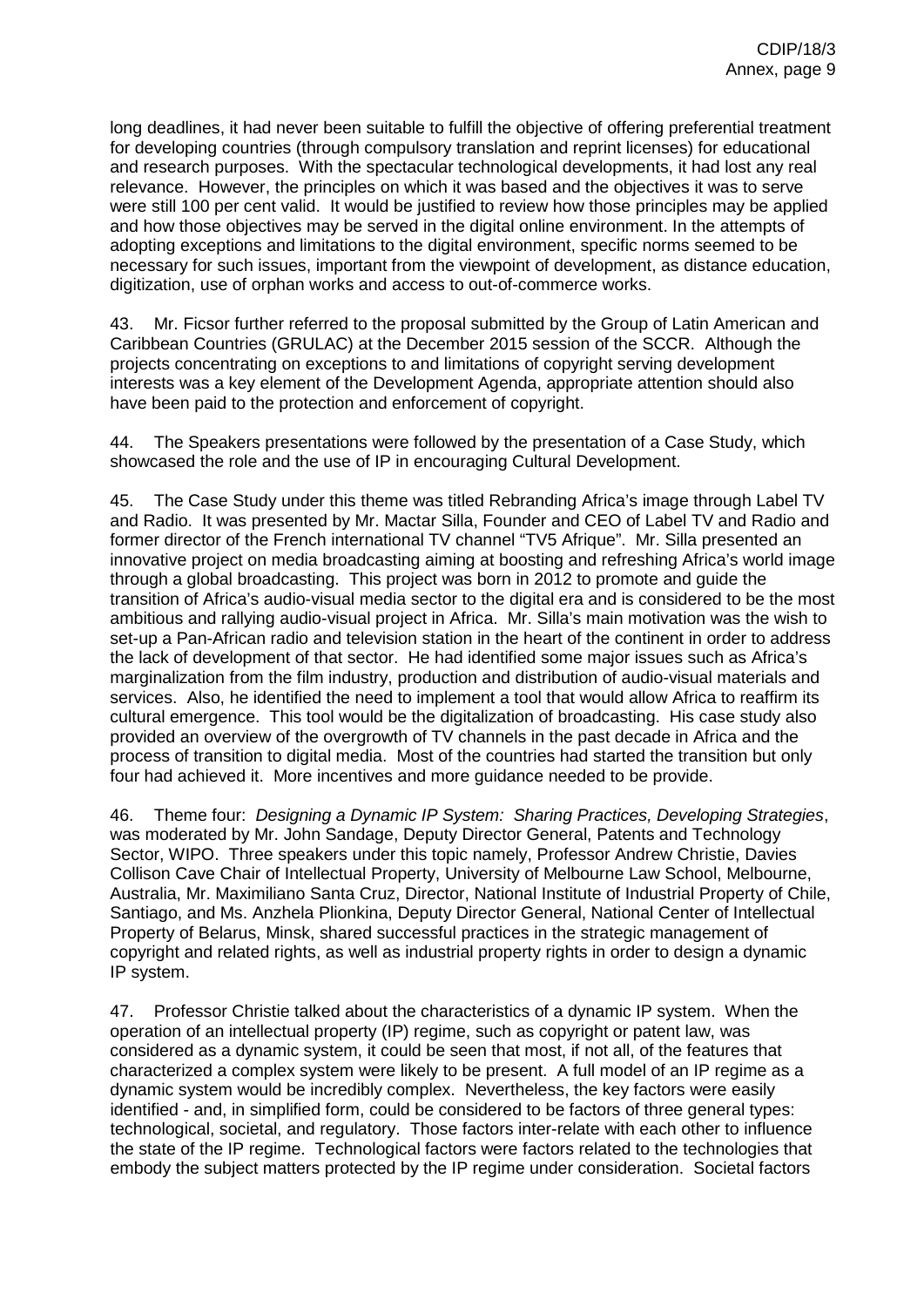long deadlines, it had never been suitable to fulfill the objective of offering preferential treatment for developing countries (through compulsory translation and reprint licenses) for educational and research purposes. With the spectacular technological developments, it had lost any real relevance. However, the principles on which it was based and the objectives it was to serve were still 100 per cent valid. It would be justified to review how those principles may be applied and how those objectives may be served in the digital online environment. In the attempts of adopting exceptions and limitations to the digital environment, specific norms seemed to be necessary for such issues, important from the viewpoint of development, as distance education, digitization, use of orphan works and access to out-of-commerce works.

43. Mr. Ficsor further referred to the proposal submitted by the Group of Latin American and Caribbean Countries (GRULAC) at the December 2015 session of the SCCR. Although the projects concentrating on exceptions to and limitations of copyright serving development interests was a key element of the Development Agenda, appropriate attention should also have been paid to the protection and enforcement of copyright.

44. The Speakers presentations were followed by the presentation of a Case Study, which showcased the role and the use of IP in encouraging Cultural Development.

45. The Case Study under this theme was titled Rebranding Africa's image through Label TV and Radio. It was presented by Mr. Mactar Silla, Founder and CEO of Label TV and Radio and former director of the French international TV channel "TV5 Afrique". Mr. Silla presented an innovative project on media broadcasting aiming at boosting and refreshing Africa's world image through a global broadcasting. This project was born in 2012 to promote and guide the transition of Africa's audio-visual media sector to the digital era and is considered to be the most ambitious and rallying audio-visual project in Africa. Mr. Silla's main motivation was the wish to set-up a Pan-African radio and television station in the heart of the continent in order to address the lack of development of that sector. He had identified some major issues such as Africa's marginalization from the film industry, production and distribution of audio-visual materials and services. Also, he identified the need to implement a tool that would allow Africa to reaffirm its cultural emergence. This tool would be the digitalization of broadcasting. His case study also provided an overview of the overgrowth of TV channels in the past decade in Africa and the process of transition to digital media. Most of the countries had started the transition but only four had achieved it. More incentives and more guidance needed to be provide.

46. Theme four: *Designing a Dynamic IP System: Sharing Practices, Developing Strategies*, was moderated by Mr. John Sandage, Deputy Director General, Patents and Technology Sector, WIPO. Three speakers under this topic namely, Professor Andrew Christie, Davies Collison Cave Chair of Intellectual Property, University of Melbourne Law School, Melbourne, Australia, Mr. Maximiliano Santa Cruz, Director, National Institute of Industrial Property of Chile, Santiago, and Ms. Anzhela Plionkina, Deputy Director General, National Center of Intellectual Property of Belarus, Minsk, shared successful practices in the strategic management of copyright and related rights, as well as industrial property rights in order to design a dynamic IP system.

47. Professor Christie talked about the characteristics of a dynamic IP system. When the operation of an intellectual property (IP) regime, such as copyright or patent law, was considered as a dynamic system, it could be seen that most, if not all, of the features that characterized a complex system were likely to be present. A full model of an IP regime as a dynamic system would be incredibly complex. Nevertheless, the key factors were easily identified - and, in simplified form, could be considered to be factors of three general types: technological, societal, and regulatory. Those factors inter-relate with each other to influence the state of the IP regime. Technological factors were factors related to the technologies that embody the subject matters protected by the IP regime under consideration. Societal factors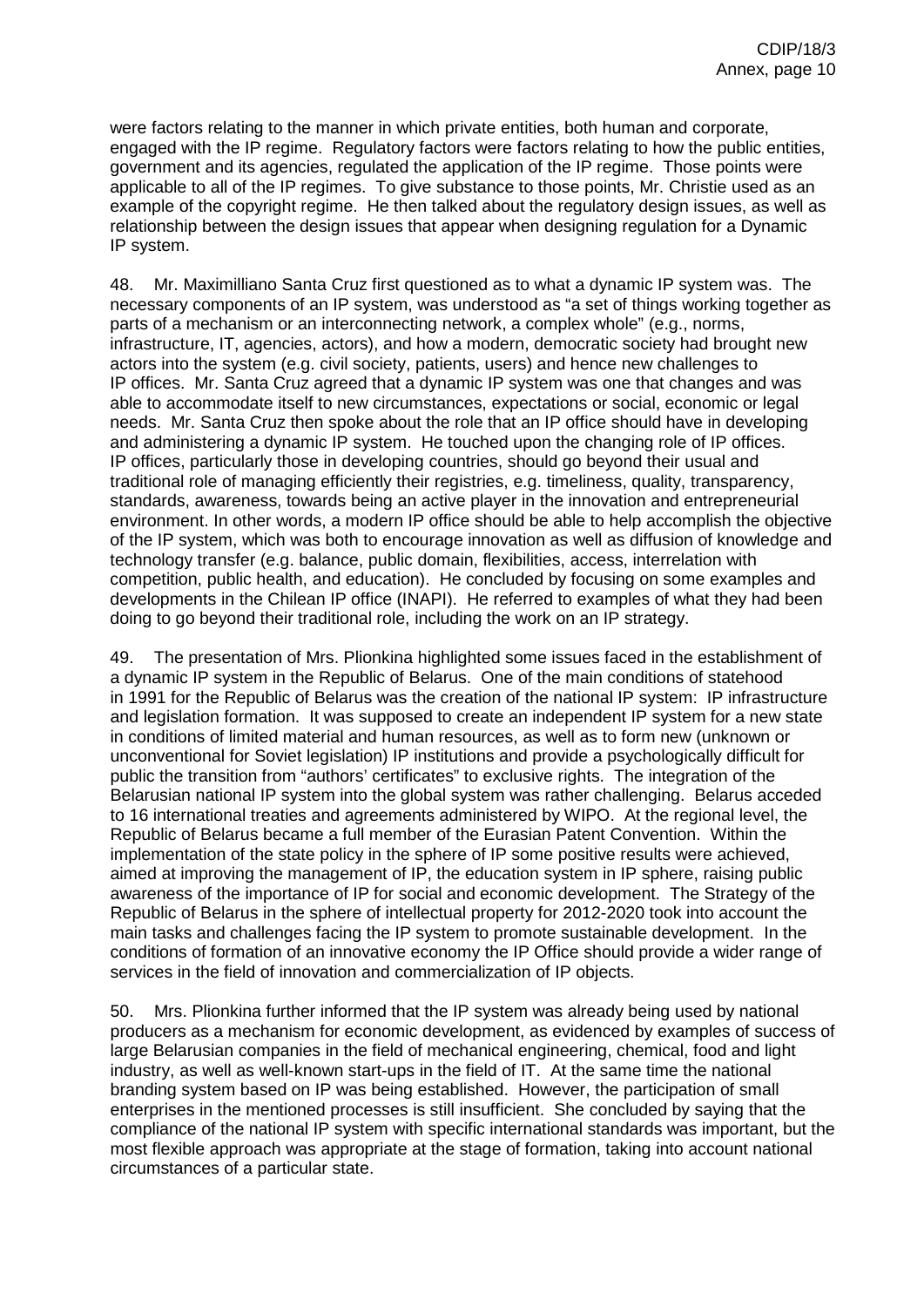were factors relating to the manner in which private entities, both human and corporate, engaged with the IP regime. Regulatory factors were factors relating to how the public entities, government and its agencies, regulated the application of the IP regime. Those points were applicable to all of the IP regimes. To give substance to those points, Mr. Christie used as an example of the copyright regime. He then talked about the regulatory design issues, as well as relationship between the design issues that appear when designing regulation for a Dynamic IP system.

48. Mr. Maximilliano Santa Cruz first questioned as to what a dynamic IP system was. The necessary components of an IP system, was understood as "a set of things working together as parts of a mechanism or an interconnecting network, a complex whole" (e.g., norms, infrastructure, IT, agencies, actors), and how a modern, democratic society had brought new actors into the system (e.g. civil society, patients, users) and hence new challenges to IP offices. Mr. Santa Cruz agreed that a dynamic IP system was one that changes and was able to accommodate itself to new circumstances, expectations or social, economic or legal needs.Mr. Santa Cruz then spoke about the role that an IP office should have in developing and administering a dynamic IP system. He touched upon the changing role of IP offices. IP offices, particularly those in developing countries, should go beyond their usual and traditional role of managing efficiently their registries, e.g. timeliness, quality, transparency, standards, awareness, towards being an active player in the innovation and entrepreneurial environment. In other words, a modern IP office should be able to help accomplish the objective of the IP system, which was both to encourage innovation as well as diffusion of knowledge and technology transfer (e.g. balance, public domain, flexibilities, access, interrelation with competition, public health, and education). He concluded by focusing on some examples and developments in the Chilean IP office (INAPI). He referred to examples of what they had been doing to go beyond their traditional role, including the work on an IP strategy.

49. The presentation of Mrs. Plionkina highlighted some issues faced in the establishment of a dynamic IP system in the Republic of Belarus. One of the main conditions of statehood in 1991 for the Republic of Belarus was the creation of the national IP system: IP infrastructure and legislation formation. It was supposed to create an independent IP system for a new state in conditions of limited material and human resources, as well as to form new (unknown or unconventional for Soviet legislation) IP institutions and provide a psychologically difficult for public the transition from "authors' certificates" to exclusive rights. The integration of the Belarusian national IP system into the global system was rather challenging. Belarus acceded to 16 international treaties and agreements administered by WIPO. At the regional level, the Republic of Belarus became a full member of the Eurasian Patent Convention. Within the implementation of the state policy in the sphere of IP some positive results were achieved, aimed at improving the management of IP, the education system in IP sphere, raising public awareness of the importance of IP for social and economic development. The Strategy of the Republic of Belarus in the sphere of intellectual property for 2012-2020 took into account the main tasks and challenges facing the IP system to promote sustainable development. In the conditions of formation of an innovative economy the IP Office should provide a wider range of services in the field of innovation and commercialization of IP objects.

50. Mrs. Plionkina further informed that the IP system was already being used by national producers as a mechanism for economic development, as evidenced by examples of success of large Belarusian companies in the field of mechanical engineering, chemical, food and light industry, as well as well-known start-ups in the field of IT. At the same time the national branding system based on IP was being established. However, the participation of small enterprises in the mentioned processes is still insufficient. She concluded by saying that the compliance of the national IP system with specific international standards was important, but the most flexible approach was appropriate at the stage of formation, taking into account national circumstances of a particular state.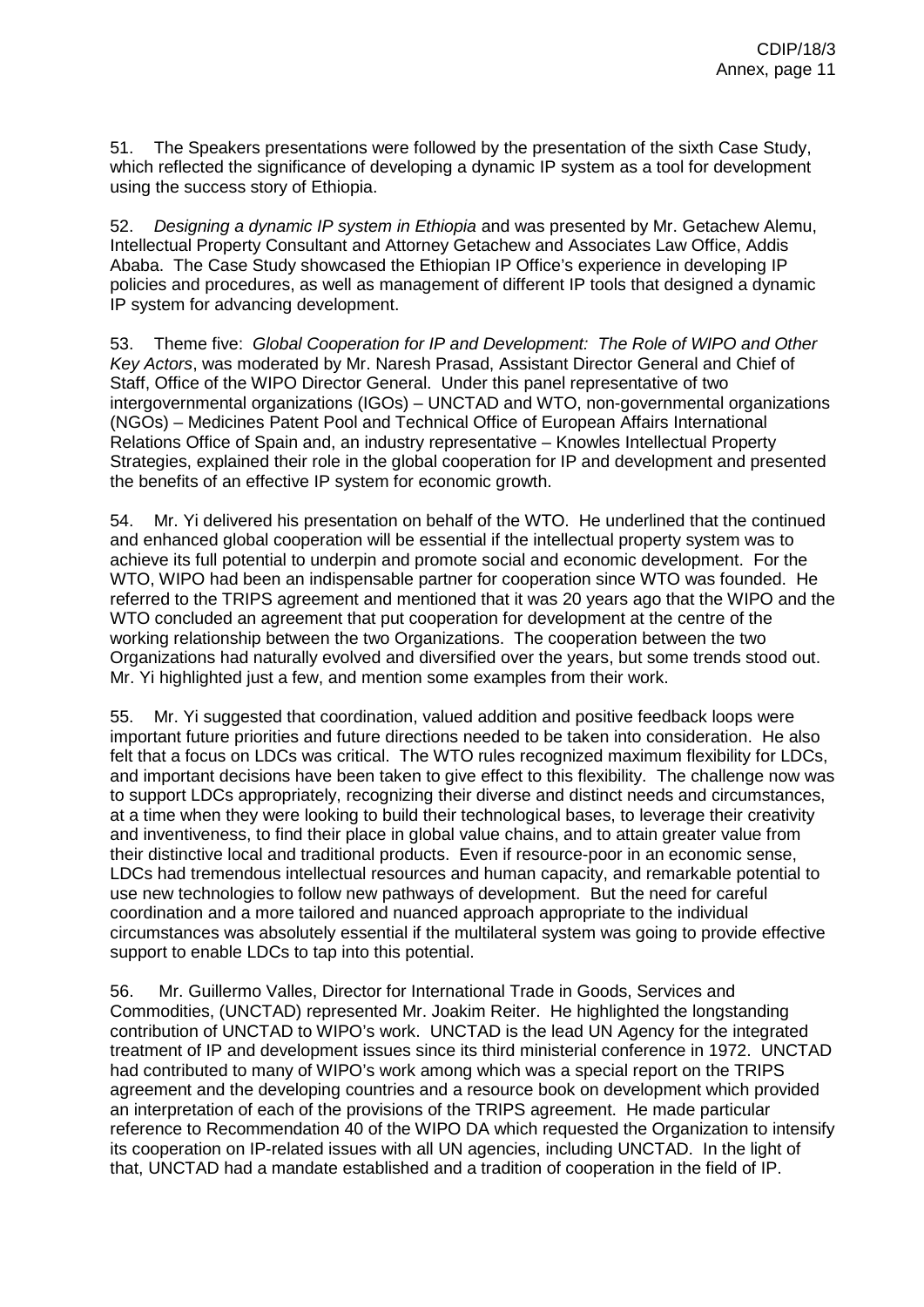51. The Speakers presentations were followed by the presentation of the sixth Case Study, which reflected the significance of developing a dynamic IP system as a tool for development using the success story of Ethiopia.

52. *Designing a dynamic IP system in Ethiopia* and was presented by Mr. Getachew Alemu, Intellectual Property Consultant and Attorney Getachew and Associates Law Office, Addis Ababa. The Case Study showcased the Ethiopian IP Office's experience in developing IP policies and procedures, as well as management of different IP tools that designed a dynamic IP system for advancing development.

53. Theme five: *Global Cooperation for IP and Development: The Role of WIPO and Other Key Actors*, was moderated by Mr. Naresh Prasad, Assistant Director General and Chief of Staff, Office of the WIPO Director General. Under this panel representative of two intergovernmental organizations (IGOs) – UNCTAD and WTO, non-governmental organizations (NGOs) – Medicines Patent Pool and Technical Office of European Affairs International Relations Office of Spain and, an industry representative – Knowles Intellectual Property Strategies, explained their role in the global cooperation for IP and development and presented the benefits of an effective IP system for economic growth.

54. Mr. Yi delivered his presentation on behalf of the WTO. He underlined that the continued and enhanced global cooperation will be essential if the intellectual property system was to achieve its full potential to underpin and promote social and economic development. For the WTO, WIPO had been an indispensable partner for cooperation since WTO was founded. He referred to the TRIPS agreement and mentioned that it was 20 years ago that the WIPO and the WTO concluded an agreement that put cooperation for development at the centre of the working relationship between the two Organizations. The cooperation between the two Organizations had naturally evolved and diversified over the years, but some trends stood out. Mr. Yi highlighted just a few, and mention some examples from their work.

55. Mr. Yi suggested that coordination, valued addition and positive feedback loops were important future priorities and future directions needed to be taken into consideration. He also felt that a focus on LDCs was critical. The WTO rules recognized maximum flexibility for LDCs, and important decisions have been taken to give effect to this flexibility. The challenge now was to support LDCs appropriately, recognizing their diverse and distinct needs and circumstances, at a time when they were looking to build their technological bases, to leverage their creativity and inventiveness, to find their place in global value chains, and to attain greater value from their distinctive local and traditional products. Even if resource-poor in an economic sense, LDCs had tremendous intellectual resources and human capacity, and remarkable potential to use new technologies to follow new pathways of development. But the need for careful coordination and a more tailored and nuanced approach appropriate to the individual circumstances was absolutely essential if the multilateral system was going to provide effective support to enable LDCs to tap into this potential.

56. Mr. Guillermo Valles, Director for International Trade in Goods, Services and Commodities, (UNCTAD) represented Mr. Joakim Reiter. He highlighted the longstanding contribution of UNCTAD to WIPO's work. UNCTAD is the lead UN Agency for the integrated treatment of IP and development issues since its third ministerial conference in 1972. UNCTAD had contributed to many of WIPO's work among which was a special report on the TRIPS agreement and the developing countries and a resource book on development which provided an interpretation of each of the provisions of the TRIPS agreement. He made particular reference to Recommendation 40 of the WIPO DA which requested the Organization to intensify its cooperation on IP-related issues with all UN agencies, including UNCTAD. In the light of that, UNCTAD had a mandate established and a tradition of cooperation in the field of IP.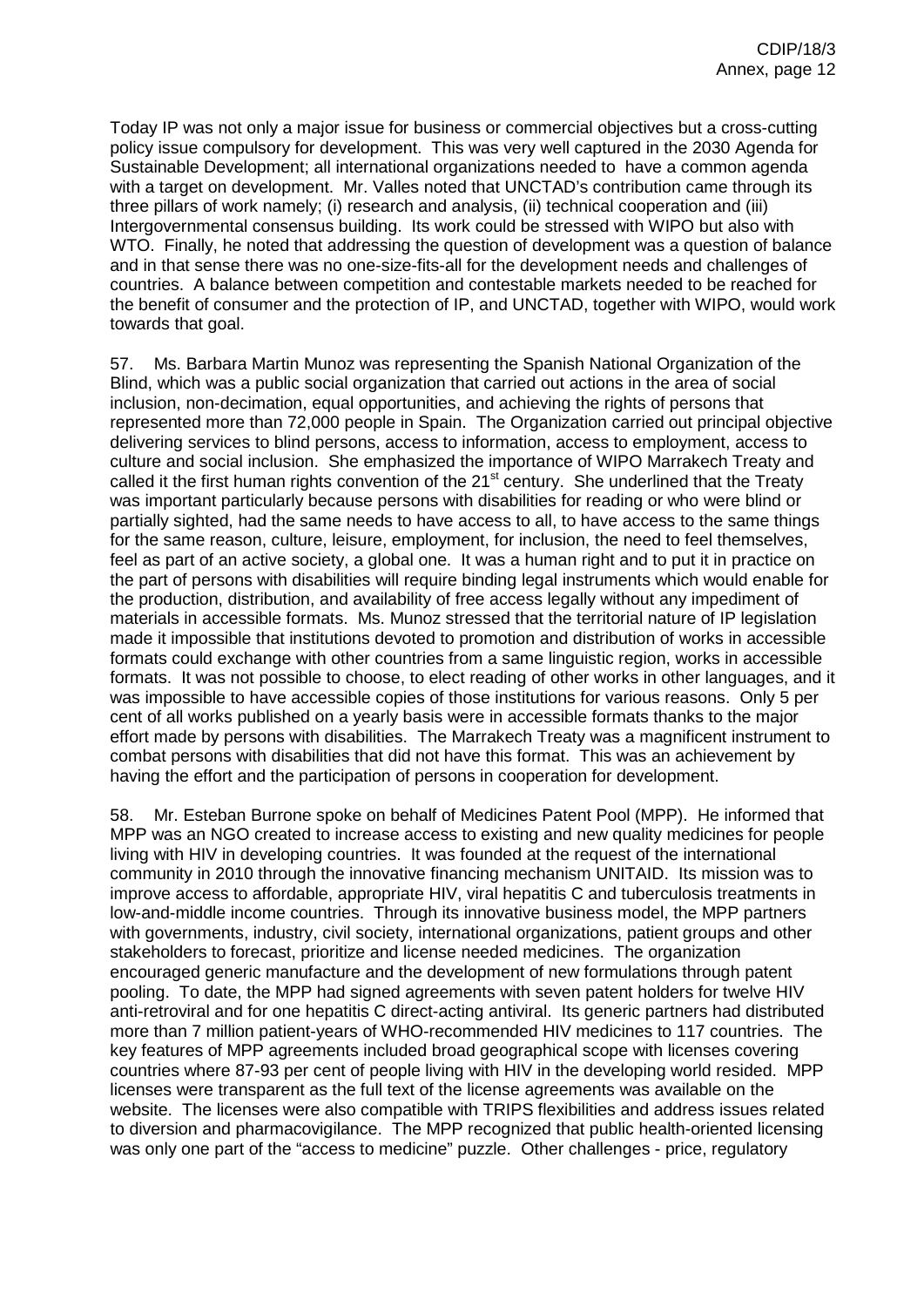Today IP was not only a major issue for business or commercial objectives but a cross-cutting policy issue compulsory for development. This was very well captured in the 2030 Agenda for Sustainable Development; all international organizations needed to have a common agenda with a target on development. Mr. Valles noted that UNCTAD's contribution came through its three pillars of work namely; (i) research and analysis, (ii) technical cooperation and (iii) Intergovernmental consensus building. Its work could be stressed with WIPO but also with WTO. Finally, he noted that addressing the question of development was a question of balance and in that sense there was no one-size-fits-all for the development needs and challenges of countries. A balance between competition and contestable markets needed to be reached for the benefit of consumer and the protection of IP, and UNCTAD, together with WIPO, would work towards that goal.

57. Ms. Barbara Martin Munoz was representing the Spanish National Organization of the Blind, which was a public social organization that carried out actions in the area of social inclusion, non-decimation, equal opportunities, and achieving the rights of persons that represented more than 72,000 people in Spain. The Organization carried out principal objective delivering services to blind persons, access to information, access to employment, access to culture and social inclusion. She emphasized the importance of WIPO Marrakech Treaty and called it the first human rights convention of the  $21<sup>st</sup>$  century. She underlined that the Treaty was important particularly because persons with disabilities for reading or who were blind or partially sighted, had the same needs to have access to all, to have access to the same things for the same reason, culture, leisure, employment, for inclusion, the need to feel themselves, feel as part of an active society, a global one. It was a human right and to put it in practice on the part of persons with disabilities will require binding legal instruments which would enable for the production, distribution, and availability of free access legally without any impediment of materials in accessible formats. Ms. Munoz stressed that the territorial nature of IP legislation made it impossible that institutions devoted to promotion and distribution of works in accessible formats could exchange with other countries from a same linguistic region, works in accessible formats. It was not possible to choose, to elect reading of other works in other languages, and it was impossible to have accessible copies of those institutions for various reasons. Only 5 per cent of all works published on a yearly basis were in accessible formats thanks to the major effort made by persons with disabilities. The Marrakech Treaty was a magnificent instrument to combat persons with disabilities that did not have this format. This was an achievement by having the effort and the participation of persons in cooperation for development.

58. Mr. Esteban Burrone spoke on behalf of Medicines Patent Pool (MPP). He informed that MPP was an NGO created to increase access to existing and new quality medicines for people living with HIV in developing countries. It was founded at the request of the international community in 2010 through the innovative financing mechanism UNITAID. Its mission was to improve access to affordable, appropriate HIV, viral hepatitis C and tuberculosis treatments in low-and-middle income countries. Through its innovative business model, the MPP partners with governments, industry, civil society, international organizations, patient groups and other stakeholders to forecast, prioritize and license needed medicines. The organization encouraged generic manufacture and the development of new formulations through patent pooling. To date, the MPP had signed agreements with seven patent holders for twelve HIV anti-retroviral and for one hepatitis C direct-acting antiviral. Its generic partners had distributed more than 7 million patient-years of WHO-recommended HIV medicines to 117 countries. The key features of MPP agreements included broad geographical scope with licenses covering countries where 87-93 per cent of people living with HIV in the developing world resided. MPP licenses were transparent as the full text of the license agreements was available on the website. The licenses were also compatible with TRIPS flexibilities and address issues related to diversion and pharmacovigilance. The MPP recognized that public health-oriented licensing was only one part of the "access to medicine" puzzle. Other challenges - price, regulatory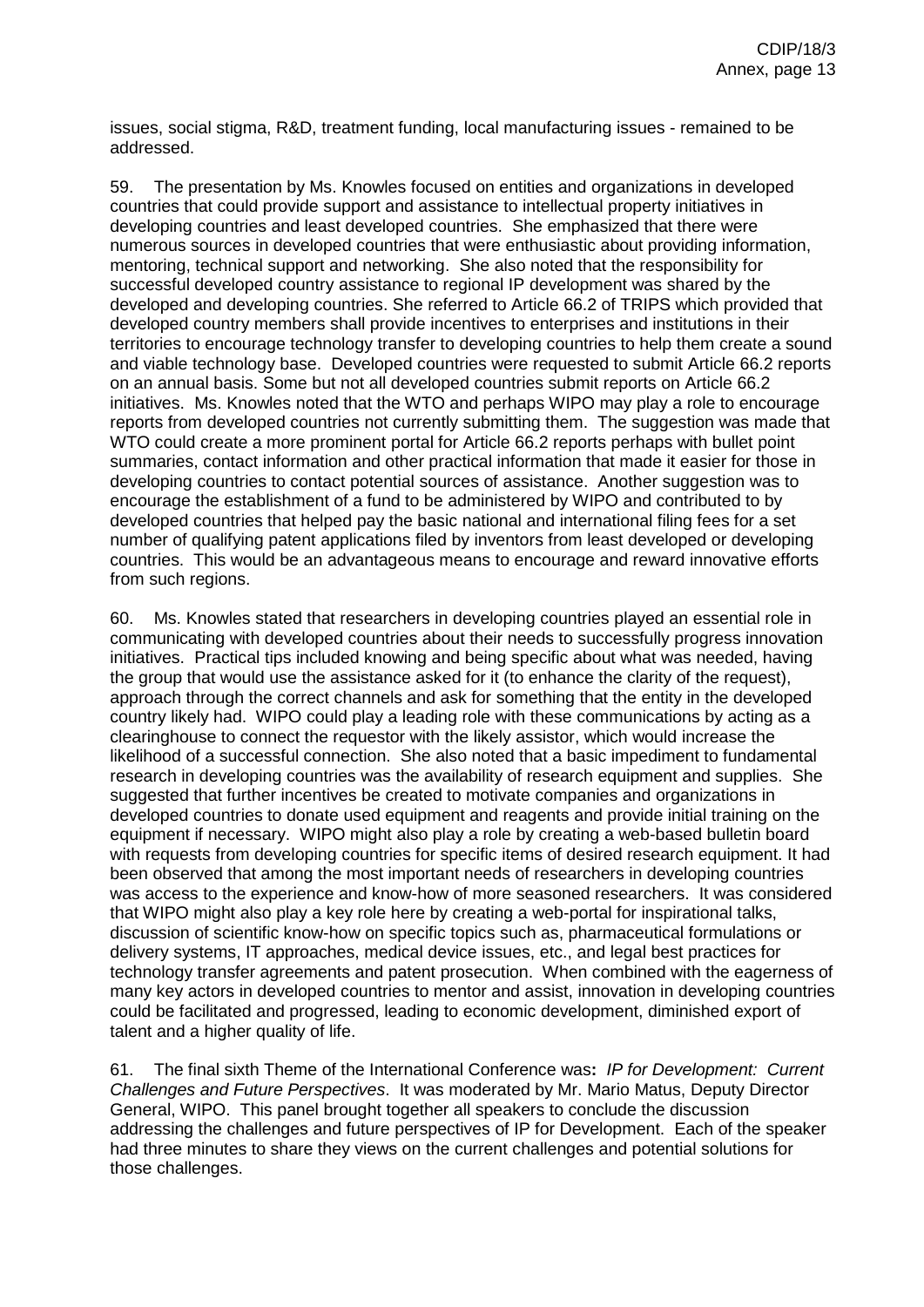issues, social stigma, R&D, treatment funding, local manufacturing issues - remained to be addressed.

59. The presentation by Ms. Knowles focused on entities and organizations in developed countries that could provide support and assistance to intellectual property initiatives in developing countries and least developed countries. She emphasized that there were numerous sources in developed countries that were enthusiastic about providing information, mentoring, technical support and networking. She also noted that the responsibility for successful developed country assistance to regional IP development was shared by the developed and developing countries. She referred to Article 66.2 of TRIPS which provided that developed country members shall provide incentives to enterprises and institutions in their territories to encourage technology transfer to developing countries to help them create a sound and viable technology base. Developed countries were requested to submit Article 66.2 reports on an annual basis. Some but not all developed countries submit reports on Article 66.2 initiatives. Ms. Knowles noted that the WTO and perhaps WIPO may play a role to encourage reports from developed countries not currently submitting them. The suggestion was made that WTO could create a more prominent portal for Article 66.2 reports perhaps with bullet point summaries, contact information and other practical information that made it easier for those in developing countries to contact potential sources of assistance. Another suggestion was to encourage the establishment of a fund to be administered by WIPO and contributed to by developed countries that helped pay the basic national and international filing fees for a set number of qualifying patent applications filed by inventors from least developed or developing countries. This would be an advantageous means to encourage and reward innovative efforts from such regions.

60. Ms. Knowles stated that researchers in developing countries played an essential role in communicating with developed countries about their needs to successfully progress innovation initiatives. Practical tips included knowing and being specific about what was needed, having the group that would use the assistance asked for it (to enhance the clarity of the request), approach through the correct channels and ask for something that the entity in the developed country likely had. WIPO could play a leading role with these communications by acting as a clearinghouse to connect the requestor with the likely assistor, which would increase the likelihood of a successful connection. She also noted that a basic impediment to fundamental research in developing countries was the availability of research equipment and supplies. She suggested that further incentives be created to motivate companies and organizations in developed countries to donate used equipment and reagents and provide initial training on the equipment if necessary. WIPO might also play a role by creating a web-based bulletin board with requests from developing countries for specific items of desired research equipment. It had been observed that among the most important needs of researchers in developing countries was access to the experience and know-how of more seasoned researchers. It was considered that WIPO might also play a key role here by creating a web-portal for inspirational talks, discussion of scientific know-how on specific topics such as, pharmaceutical formulations or delivery systems, IT approaches, medical device issues, etc., and legal best practices for technology transfer agreements and patent prosecution. When combined with the eagerness of many key actors in developed countries to mentor and assist, innovation in developing countries could be facilitated and progressed, leading to economic development, diminished export of talent and a higher quality of life.

61. The final sixth Theme of the International Conference was**:** *IP for Development: Current Challenges and Future Perspectives*. It was moderated by Mr. Mario Matus, Deputy Director General, WIPO. This panel brought together all speakers to conclude the discussion addressing the challenges and future perspectives of IP for Development. Each of the speaker had three minutes to share they views on the current challenges and potential solutions for those challenges.